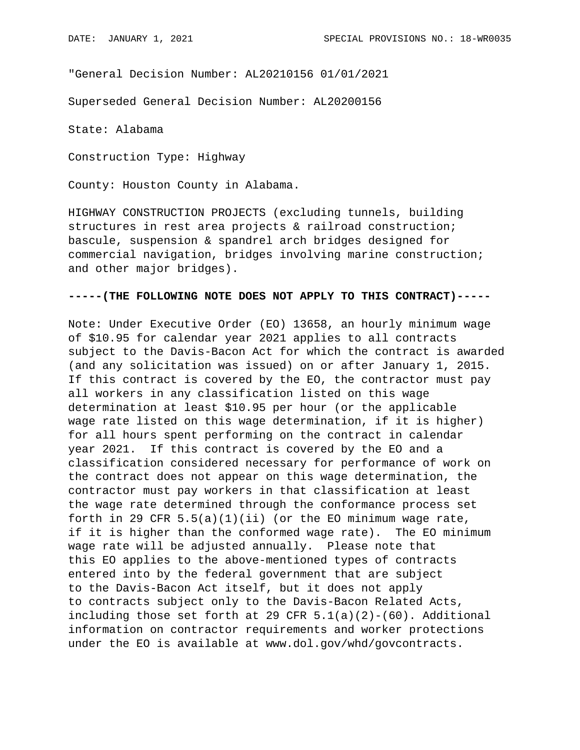"General Decision Number: AL20210156 01/01/2021

Superseded General Decision Number: AL20200156

State: Alabama

Construction Type: Highway

County: Houston County in Alabama.

HIGHWAY CONSTRUCTION PROJECTS (excluding tunnels, building structures in rest area projects & railroad construction; bascule, suspension & spandrel arch bridges designed for commercial navigation, bridges involving marine construction; and other major bridges).

## **-----(THE FOLLOWING NOTE DOES NOT APPLY TO THIS CONTRACT)-----**

Note: Under Executive Order (EO) 13658, an hourly minimum wage of \$10.95 for calendar year 2021 applies to all contracts subject to the Davis-Bacon Act for which the contract is awarded (and any solicitation was issued) on or after January 1, 2015. If this contract is covered by the EO, the contractor must pay all workers in any classification listed on this wage determination at least \$10.95 per hour (or the applicable wage rate listed on this wage determination, if it is higher) for all hours spent performing on the contract in calendar year 2021. If this contract is covered by the EO and a classification considered necessary for performance of work on the contract does not appear on this wage determination, the contractor must pay workers in that classification at least the wage rate determined through the conformance process set forth in 29 CFR  $5.5(a)(1)(ii)$  (or the EO minimum wage rate, if it is higher than the conformed wage rate). The EO minimum wage rate will be adjusted annually. Please note that this EO applies to the above-mentioned types of contracts entered into by the federal government that are subject to the Davis-Bacon Act itself, but it does not apply to contracts subject only to the Davis-Bacon Related Acts, including those set forth at 29 CFR  $5.1(a)(2)-(60)$ . Additional information on contractor requirements and worker protections under the EO is available at www.dol.gov/whd/govcontracts.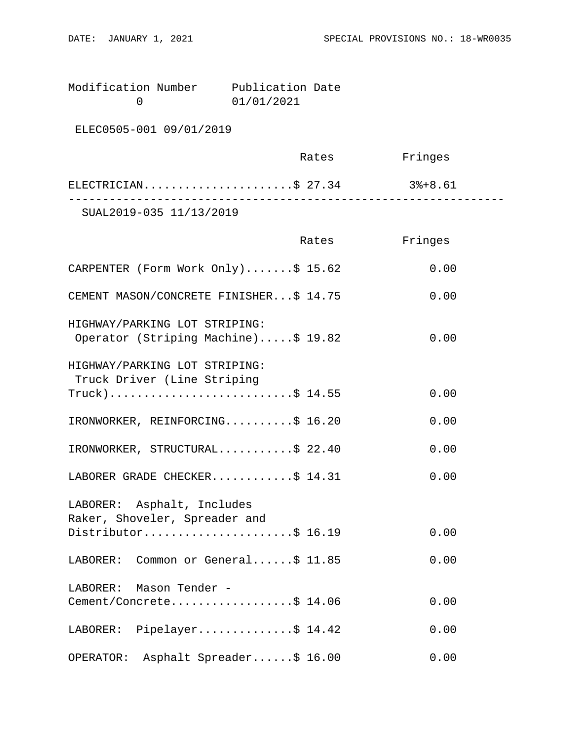| Modification Number | Publication Date |  |
|---------------------|------------------|--|
|                     | 01/01/2021       |  |

ELEC0505-001 09/01/2019

|                         | Rates | Fringes |  |
|-------------------------|-------|---------|--|
| ELECTRICIAN\$ 27.34     |       | 3%+8.61 |  |
| SUAL2019-035 11/13/2019 |       |         |  |

|                                                                      | Rates | Fringes |
|----------------------------------------------------------------------|-------|---------|
| CARPENTER (Form Work Only)\$ 15.62                                   |       | 0.00    |
| CEMENT MASON/CONCRETE FINISHER\$ 14.75                               |       | 0.00    |
| HIGHWAY/PARKING LOT STRIPING:<br>Operator (Striping Machine)\$ 19.82 |       | 0.00    |
| HIGHWAY/PARKING LOT STRIPING:<br>Truck Driver (Line Striping         |       |         |
| $True k)$ \$ 14.55                                                   |       | 0.00    |
| IRONWORKER, REINFORCING\$ 16.20                                      |       | 0.00    |
| IRONWORKER, STRUCTURAL\$ 22.40                                       |       | 0.00    |
| LABORER GRADE CHECKER\$ 14.31                                        |       | 0.00    |
| LABORER: Asphalt, Includes<br>Raker, Shoveler, Spreader and          |       |         |
| Distributor\$ 16.19                                                  |       | 0.00    |
| LABORER: Common or General\$ 11.85                                   |       | 0.00    |
| LABORER: Mason Tender -                                              |       |         |
| Cement/Concrete\$ 14.06                                              |       | 0.00    |
| LABORER: Pipelayer\$ 14.42                                           |       | 0.00    |
| Asphalt Spreader\$ 16.00<br>OPERATOR:                                |       | 0.00    |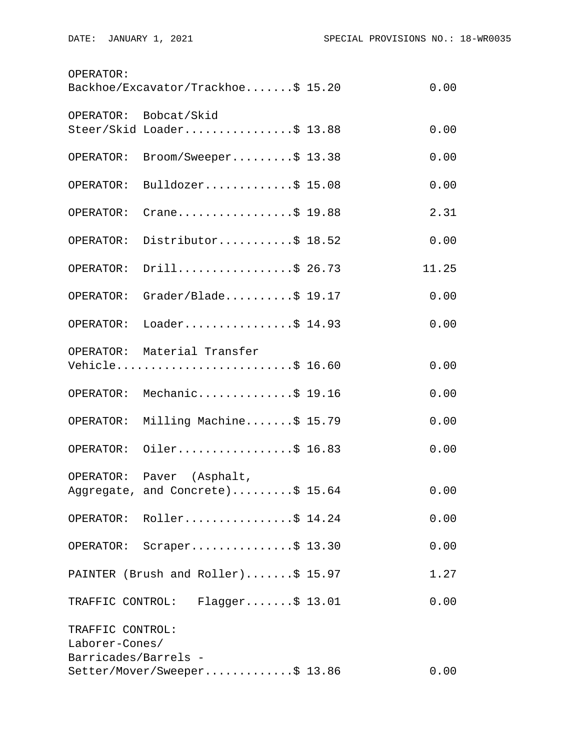| OPERATOR:<br>Backhoe/Excavator/Trackhoe\$ 15.20<br>0.00    |                                                     |  |       |
|------------------------------------------------------------|-----------------------------------------------------|--|-------|
|                                                            | OPERATOR: Bobcat/Skid                               |  |       |
|                                                            | Steer/Skid Loader\$ 13.88                           |  | 0.00  |
| OPERATOR:                                                  | Broom/Sweeper\$ 13.38                               |  | 0.00  |
| OPERATOR:                                                  | Bulldozer\$ 15.08                                   |  | 0.00  |
| OPERATOR:                                                  | Crane\$ 19.88                                       |  | 2.31  |
| OPERATOR:                                                  | Distributor\$ 18.52                                 |  | 0.00  |
| OPERATOR:                                                  | Drill\$ 26.73                                       |  | 11.25 |
| OPERATOR:                                                  | Grader/Blade\$ 19.17                                |  | 0.00  |
| OPERATOR:                                                  | Loader\$ 14.93                                      |  | 0.00  |
|                                                            | OPERATOR: Material Transfer<br>Vehicle\$ 16.60      |  | 0.00  |
|                                                            | OPERATOR: Mechanic\$ 19.16                          |  | 0.00  |
| OPERATOR:                                                  | Milling Machine\$ 15.79                             |  | 0.00  |
| OPERATOR:                                                  | Oiler\$ 16.83                                       |  | 0.00  |
| OPERATOR:                                                  | Paver (Asphalt,<br>Aggregate, and Concrete)\$ 15.64 |  | 0.00  |
|                                                            | OPERATOR: Roller\$ 14.24                            |  | 0.00  |
|                                                            | OPERATOR: Scraper\$ 13.30                           |  | 0.00  |
|                                                            | PAINTER (Brush and Roller)\$ 15.97                  |  | 1.27  |
|                                                            | TRAFFIC CONTROL: Flagger\$ 13.01                    |  | 0.00  |
| TRAFFIC CONTROL:<br>Laborer-Cones/<br>Barricades/Barrels - |                                                     |  |       |
| Setter/Mover/Sweeper\$ 13.86<br>0.00                       |                                                     |  |       |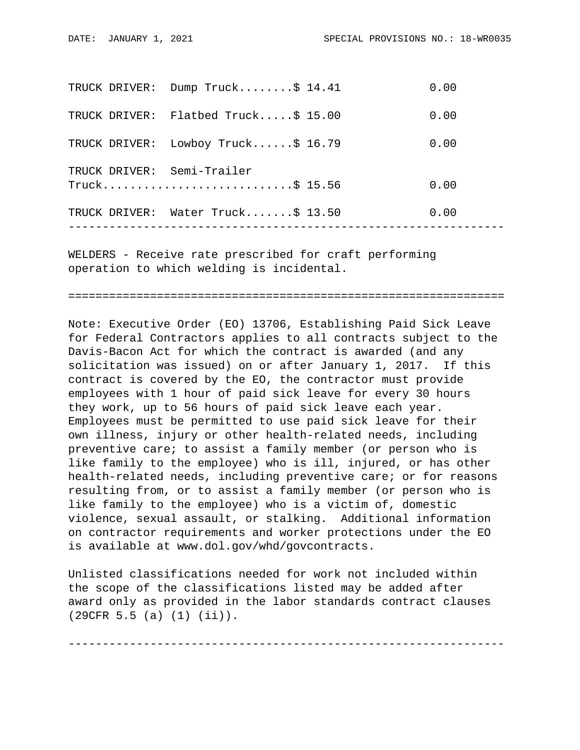|               | TRUCK DRIVER: Dump Truck\$ 14.41  | 0.00 |
|---------------|-----------------------------------|------|
| TRUCK DRIVER: | Flatbed Truck $$15.00$            | 0.00 |
| TRUCK DRIVER: | Lowboy Truck $$16.79$             | 0.00 |
|               | TRUCK DRIVER: Semi-Trailer        |      |
|               |                                   | 0.00 |
|               | TRUCK DRIVER: Water Truck\$ 13.50 | 0.00 |
|               |                                   |      |

WELDERS - Receive rate prescribed for craft performing operation to which welding is incidental.

================================================================

Note: Executive Order (EO) 13706, Establishing Paid Sick Leave for Federal Contractors applies to all contracts subject to the Davis-Bacon Act for which the contract is awarded (and any solicitation was issued) on or after January 1, 2017. If this contract is covered by the EO, the contractor must provide employees with 1 hour of paid sick leave for every 30 hours they work, up to 56 hours of paid sick leave each year. Employees must be permitted to use paid sick leave for their own illness, injury or other health-related needs, including preventive care; to assist a family member (or person who is like family to the employee) who is ill, injured, or has other health-related needs, including preventive care; or for reasons resulting from, or to assist a family member (or person who is like family to the employee) who is a victim of, domestic violence, sexual assault, or stalking. Additional information on contractor requirements and worker protections under the EO is available at www.dol.gov/whd/govcontracts.

Unlisted classifications needed for work not included within the scope of the classifications listed may be added after award only as provided in the labor standards contract clauses (29CFR 5.5 (a) (1) (ii)).

----------------------------------------------------------------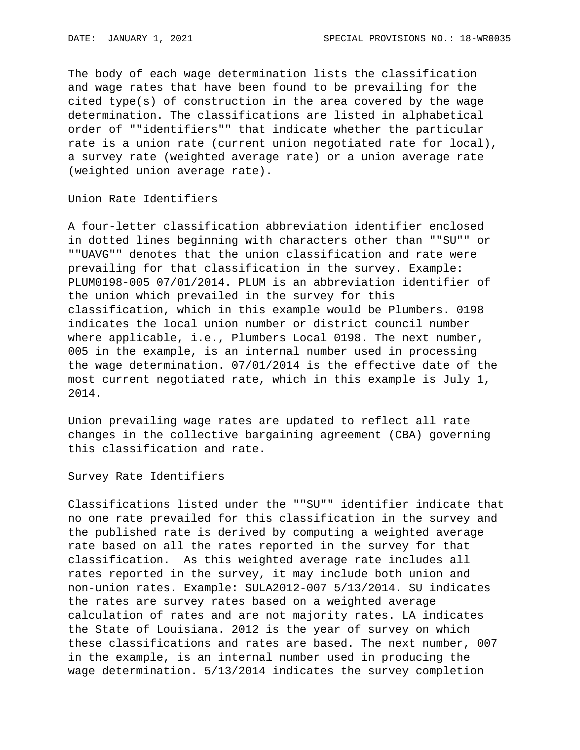The body of each wage determination lists the classification and wage rates that have been found to be prevailing for the cited type(s) of construction in the area covered by the wage determination. The classifications are listed in alphabetical order of ""identifiers"" that indicate whether the particular rate is a union rate (current union negotiated rate for local), a survey rate (weighted average rate) or a union average rate (weighted union average rate).

Union Rate Identifiers

A four-letter classification abbreviation identifier enclosed in dotted lines beginning with characters other than ""SU"" or ""UAVG"" denotes that the union classification and rate were prevailing for that classification in the survey. Example: PLUM0198-005 07/01/2014. PLUM is an abbreviation identifier of the union which prevailed in the survey for this classification, which in this example would be Plumbers. 0198 indicates the local union number or district council number where applicable, i.e., Plumbers Local 0198. The next number, 005 in the example, is an internal number used in processing the wage determination. 07/01/2014 is the effective date of the most current negotiated rate, which in this example is July 1, 2014.

Union prevailing wage rates are updated to reflect all rate changes in the collective bargaining agreement (CBA) governing this classification and rate.

Survey Rate Identifiers

Classifications listed under the ""SU"" identifier indicate that no one rate prevailed for this classification in the survey and the published rate is derived by computing a weighted average rate based on all the rates reported in the survey for that classification. As this weighted average rate includes all rates reported in the survey, it may include both union and non-union rates. Example: SULA2012-007 5/13/2014. SU indicates the rates are survey rates based on a weighted average calculation of rates and are not majority rates. LA indicates the State of Louisiana. 2012 is the year of survey on which these classifications and rates are based. The next number, 007 in the example, is an internal number used in producing the wage determination. 5/13/2014 indicates the survey completion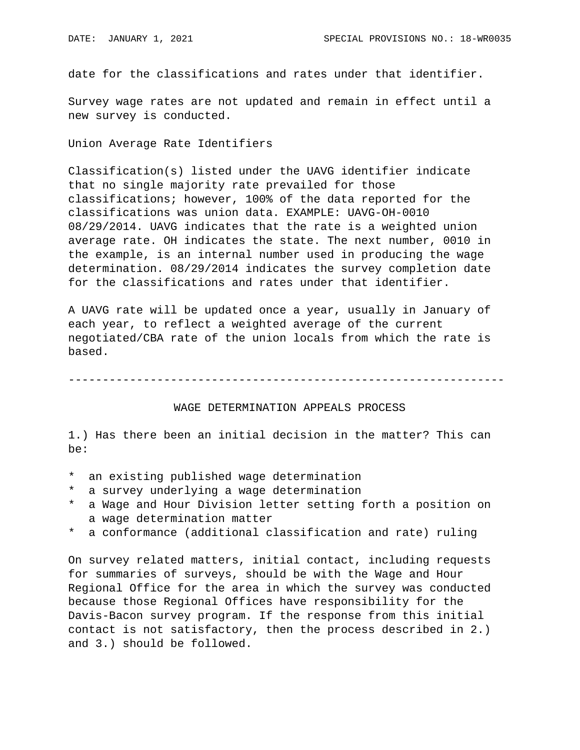date for the classifications and rates under that identifier.

Survey wage rates are not updated and remain in effect until a new survey is conducted.

Union Average Rate Identifiers

Classification(s) listed under the UAVG identifier indicate that no single majority rate prevailed for those classifications; however, 100% of the data reported for the classifications was union data. EXAMPLE: UAVG-OH-0010 08/29/2014. UAVG indicates that the rate is a weighted union average rate. OH indicates the state. The next number, 0010 in the example, is an internal number used in producing the wage determination. 08/29/2014 indicates the survey completion date for the classifications and rates under that identifier.

A UAVG rate will be updated once a year, usually in January of each year, to reflect a weighted average of the current negotiated/CBA rate of the union locals from which the rate is based.

----------------------------------------------------------------

## WAGE DETERMINATION APPEALS PROCESS

1.) Has there been an initial decision in the matter? This can be:

- \* an existing published wage determination
- \* a survey underlying a wage determination
- a Wage and Hour Division letter setting forth a position on a wage determination matter
- \* a conformance (additional classification and rate) ruling

On survey related matters, initial contact, including requests for summaries of surveys, should be with the Wage and Hour Regional Office for the area in which the survey was conducted because those Regional Offices have responsibility for the Davis-Bacon survey program. If the response from this initial contact is not satisfactory, then the process described in 2.) and 3.) should be followed.